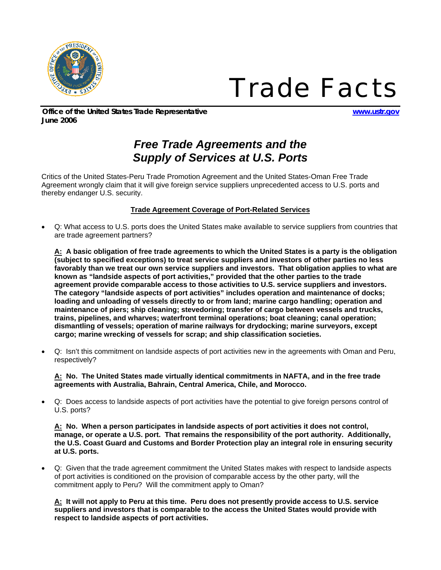

*Trade Facts*

*Office of the United States Trade Representative www.ustr.gov June 2006* 

## *Free Trade Agreements and the Supply of Services at U.S. Ports*

Critics of the United States-Peru Trade Promotion Agreement and the United States-Oman Free Trade Agreement wrongly claim that it will give foreign service suppliers unprecedented access to U.S. ports and thereby endanger U.S. security.

## **Trade Agreement Coverage of Port-Related Services**

• Q: What access to U.S. ports does the United States make available to service suppliers from countries that are trade agreement partners?

**A: A basic obligation of free trade agreements to which the United States is a party is the obligation (subject to specified exceptions) to treat service suppliers and investors of other parties no less favorably than we treat our own service suppliers and investors. That obligation applies to what are known as "landside aspects of port activities," provided that the other parties to the trade agreement provide comparable access to those activities to U.S. service suppliers and investors. The category "landside aspects of port activities" includes operation and maintenance of docks; loading and unloading of vessels directly to or from land; marine cargo handling; operation and maintenance of piers; ship cleaning; stevedoring; transfer of cargo between vessels and trucks, trains, pipelines, and wharves; waterfront terminal operations; boat cleaning; canal operation; dismantling of vessels; operation of marine railways for drydocking; marine surveyors, except cargo; marine wrecking of vessels for scrap; and ship classification societies.** 

• Q: Isn't this commitment on landside aspects of port activities new in the agreements with Oman and Peru, respectively?

**A: No. The United States made virtually identical commitments in NAFTA, and in the free trade agreements with Australia, Bahrain, Central America, Chile, and Morocco.** 

• Q: Does access to landside aspects of port activities have the potential to give foreign persons control of U.S. ports?

**A: No. When a person participates in landside aspects of port activities it does not control, manage, or operate a U.S. port. That remains the responsibility of the port authority. Additionally, the U.S. Coast Guard and Customs and Border Protection play an integral role in ensuring security at U.S. ports.** 

• Q: Given that the trade agreement commitment the United States makes with respect to landside aspects of port activities is conditioned on the provision of comparable access by the other party, will the commitment apply to Peru? Will the commitment apply to Oman?

**A: It will not apply to Peru at this time. Peru does not presently provide access to U.S. service suppliers and investors that is comparable to the access the United States would provide with respect to landside aspects of port activities.**